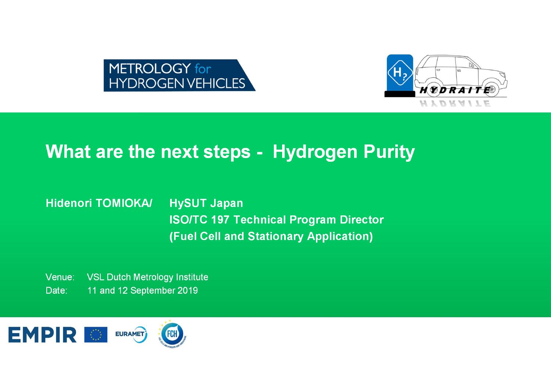



### What are the next steps - Hydrogen Purity

#### **HySUT Japan Hidenori TOMIOKA/ ISO/TC 197 Technical Program Director** (Fuel Cell and Stationary Application)

**VSL Dutch Metrology Institute** Venue: Date: 11 and 12 September 2019

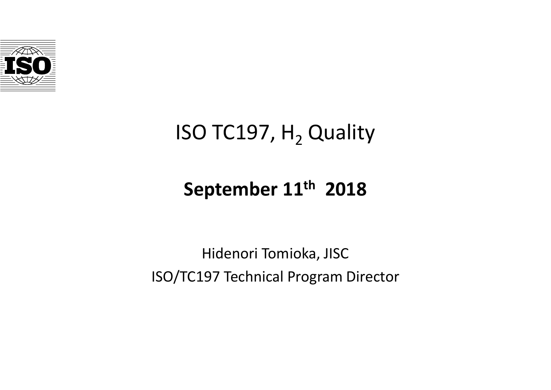

# ISO TC197,  $H<sub>2</sub>$  Quality

## **September 11th 2018**

Hidenori Tomioka, JISC ISO/TC197 Technical Program Director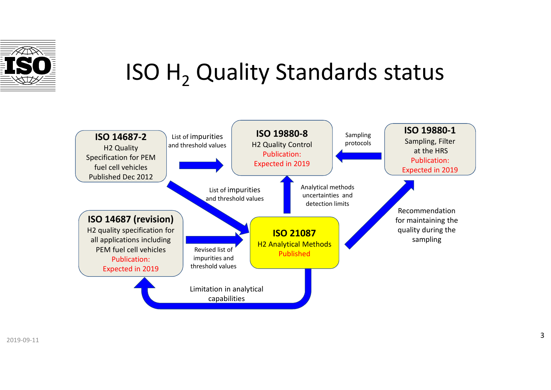

# ISO  $H<sub>2</sub>$  Quality Standards status

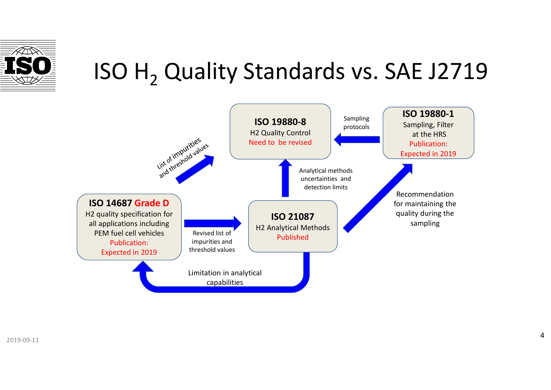

# ISO H<sub>2</sub> Quality Standards vs. SAE J2719

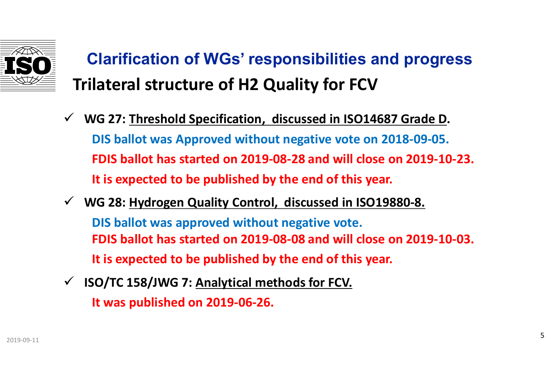

# **Clarification of WGs' responsibilities and progress Trilateral structure of H2 Quality for FCV**

- **WG 27: Threshold Specification, discussed in ISO14687 Grade D. DIS ballot was Approved without negative vote on 2018-09-05. FDIS ballot has started on 2019-08-28 and will close on 2019-10-23. It is expected to be published by the end of this year.**
- **WG 28: Hydrogen Quality Control, discussed in ISO19880-8. DIS ballot was approved without negative vote. FDIS ballot has started on 2019-08-08 and will close on 2019-10-03. It is expected to be published by the end of this year.**
- **ISO/TC 158/JWG 7: Analytical methods for FCV. It was published on 2019-06-26.**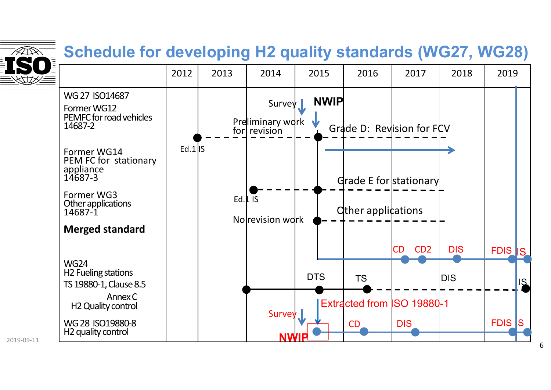

2019-09-11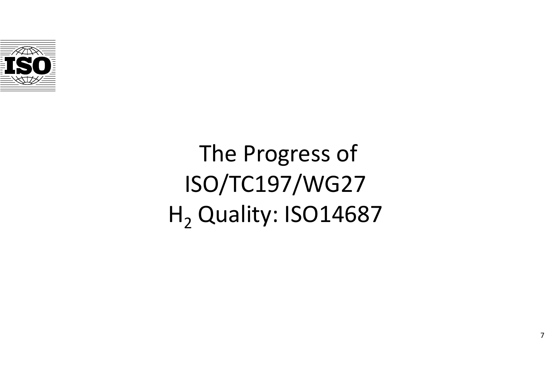

# The Progress of ISO/TC197/WG27  $H<sub>2</sub>$  Quality: ISO14687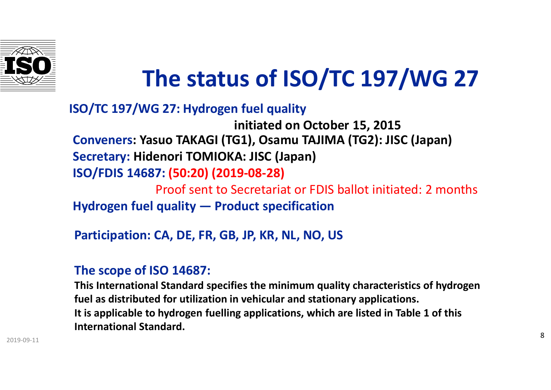

# **The status of ISO/TC 197/WG 27**

#### **ISO/TC 197/WG 27: Hydrogen fuel quality**

**Conveners: Yasuo TAKAGI (TG1), Osamu TAJIMA (TG2): JISC (Japan) Secretary: Hidenori TOMIOKA: JISC (Japan) ISO/FDIS 14687: (50:20) (2019-08-28)**  Proof sent to Secretariat or FDIS ballot initiated: 2 months **initiated on October 15, 2015**

**Hydrogen fuel quality — Product specification**

**Participation: CA, DE, FR, GB, JP, KR, NL, NO, US**

#### **The scope of ISO 14687:**

**This International Standard specifies the minimum quality characteristics of hydrogen fuel as distributed for utilization in vehicular and stationary applications. It is applicable to hydrogen fuelling applications, which are listed in Table 1 of this International Standard.**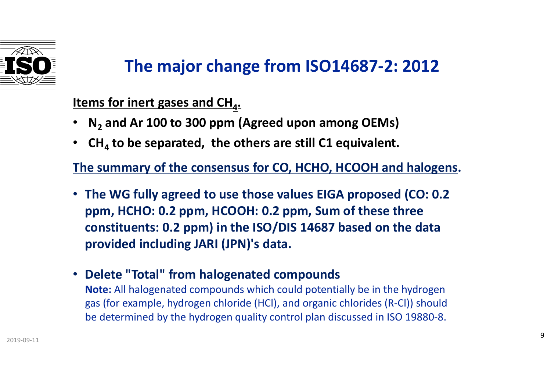

### **The major change from ISO14687-2: 2012**

**Items for inert gases and CH<sub>4</sub>.** 

- **N<sup>2</sup> and Ar 100 to 300 ppm (Agreed upon among OEMs)**
- **CH<sup>4</sup> to be separated, the others are still C1 equivalent.**

**The summary of the consensus for CO, HCHO, HCOOH and halogens.** 

- **The WG fully agreed to use those values EIGA proposed (CO: 0.2 ppm, HCHO: 0.2 ppm, HCOOH: 0.2 ppm, Sum of these three constituents: 0.2 ppm) in the ISO/DIS 14687 based on the data provided including JARI (JPN)'s data.**
- **Delete "Total" from halogenated compounds**

**Note:** All halogenated compounds which could potentially be in the hydrogen gas (for example, hydrogen chloride (HCl), and organic chlorides (R-Cl)) should be determined by the hydrogen quality control plan discussed in ISO 19880-8.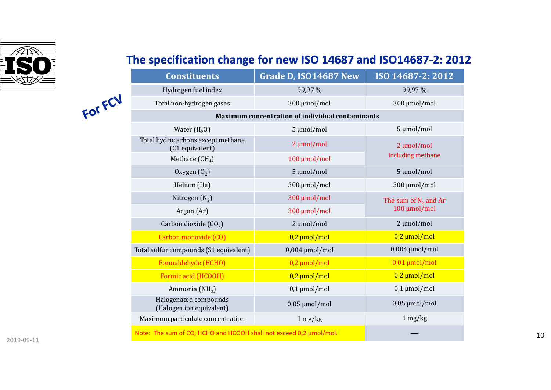

FOT FCV

#### The specification change for new ISO 14687 and ISO14687-2: 2012

| <b>Constituents</b>                                                | Grade D, ISO14687 New | ISO 14687-2: 2012                       |
|--------------------------------------------------------------------|-----------------------|-----------------------------------------|
| Hydrogen fuel index                                                | 99,97%                | 99,97%                                  |
| Total non-hydrogen gases                                           | 300 µmol/mol          | 300 µmol/mol                            |
| Maximum concentration of individual contaminants                   |                       |                                         |
| Water $(H20)$                                                      | 5 µmol/mol            | 5 µmol/mol                              |
| Total hydrocarbons except methane<br>(C1 equivalent)               | $2 \mu$ mol/mol       | $2 \mu mol/mol$<br>Including methane    |
| Methane $(CH_4)$                                                   | 100 μmol/mol          |                                         |
| Oxygen $(02)$                                                      | 5 µmol/mol            | 5 µmol/mol                              |
| Helium (He)                                                        | 300 µmol/mol          | 300 µmol/mol                            |
| Nitrogen $(N_2)$                                                   | 300 µmol/mol          | The sum of $N_2$ and Ar<br>100 μmol/mol |
| Argon (Ar)                                                         | 300 µmol/mol          |                                         |
| Carbon dioxide $(CO2)$                                             | $2 \mu$ mol/mol       | $2 \mu mol/mol$                         |
| Carbon monoxide (CO)                                               | $0,2 \mu$ mol/mol     | $0,2 \mu$ mol/mol                       |
| Total sulfur compounds (S1 equivalent)                             | $0,004 \mu$ mol/mol   | $0,004 \mu$ mol/mol                     |
| Formaldehyde (HCHO)                                                | $0,2 \mu$ mol/mol     | $0,01 \mu$ mol/mol                      |
| Formic acid (HCOOH)                                                | $0,2 \mu$ mol/mol     | $0,2 \mu$ mol/mol                       |
| Ammonia (NH <sub>3</sub> )                                         | $0,1 \mu$ mol/mol     | $0,1 \mu$ mol/mol                       |
| Halogenated compounds<br>(Halogen ion equivalent)                  | $0,05 \mu$ mol/mol    | $0,05 \mu$ mol/mol                      |
| Maximum particulate concentration                                  | $1 \text{ mg/kg}$     | 1 mg/kg                                 |
| Note: The sum of CO, HCHO and HCOOH shall not exceed 0,2 µmol/mol. |                       |                                         |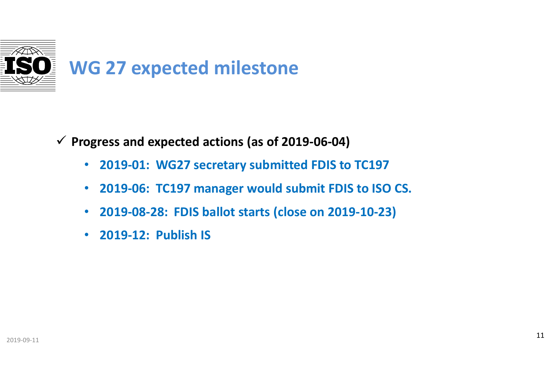

**Progress and expected actions (as of 2019-06-04)**

- **2019-01: WG27 secretary submitted FDIS to TC197**
- **2019-06: TC197 manager would submit FDIS to ISO CS.**
- **2019-08-28: FDIS ballot starts (close on 2019-10-23)**
- **2019-12: Publish IS**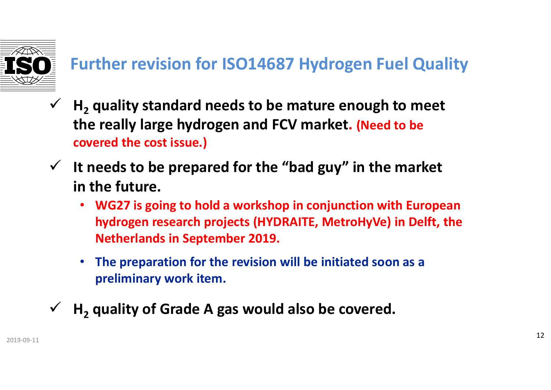

## **Further revision for ISO14687 Hydrogen Fuel Quality**

- **H<sup>2</sup> quality standard needs to be mature enough to meet the really large hydrogen and FCV market. (Need to be covered the cost issue.)**
- **It needs to be prepared for the "bad guy" in the market in the future.** 
	- **WG27 is going to hold a workshop in conjunction with European hydrogen research projects (HYDRAITE, MetroHyVe) in Delft, the Netherlands in September 2019.**
	- **The preparation for the revision will be initiated soon as a preliminary work item.**
	- **H<sup>2</sup> quality of Grade A gas would also be covered.**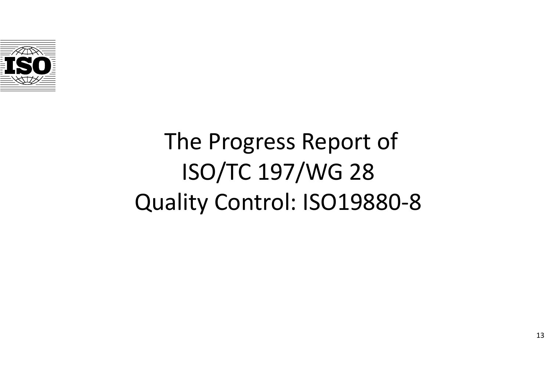

# The Progress Report of ISO/TC 197/WG 28 Quality Control: ISO19880-8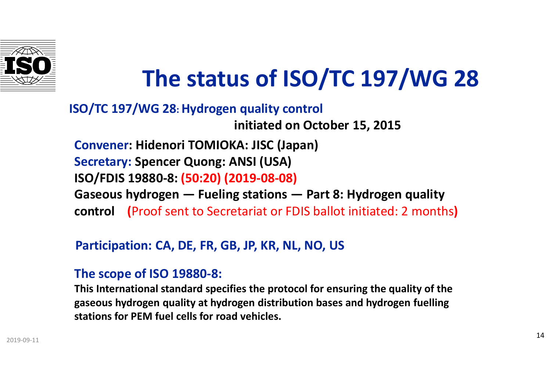

# **The status of ISO/TC 197/WG 28**

### **Convener: Hidenori TOMIOKA: JISC (Japan) Secretary: Spencer Quong: ANSI (USA) ISO/FDIS 19880-8: (50:20) (2019-08-08) Gaseous hydrogen — Fueling stations — Part 8: Hydrogen quality control (**Proof sent to Secretariat or FDIS ballot initiated: 2 months**) ISO/TC 197/WG 28: Hydrogen quality control initiated on October 15, 2015**

#### **Participation: CA, DE, FR, GB, JP, KR, NL, NO, US**

#### **The scope of ISO 19880-8:**

**This International standard specifies the protocol for ensuring the quality of the gaseous hydrogen quality at hydrogen distribution bases and hydrogen fuelling stations for PEM fuel cells for road vehicles.**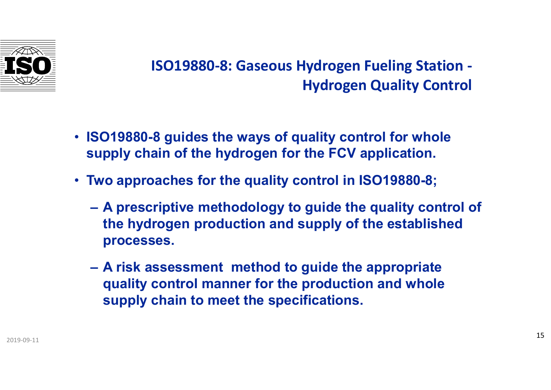

### **ISO19880-8: Gaseous Hydrogen Fueling Station - Hydrogen Quality Control**

- **ISO19880-8 guides the ways of quality control for whole supply chain of the hydrogen for the FCV application.**
- **Two approaches for the quality control in ISO19880-8;** 
	- **A prescriptive methodology to guide the quality control of the hydrogen production and supply of the established processes.**
	- **A risk assessment method to guide the appropriate quality control manner for the production and whole supply chain to meet the specifications.**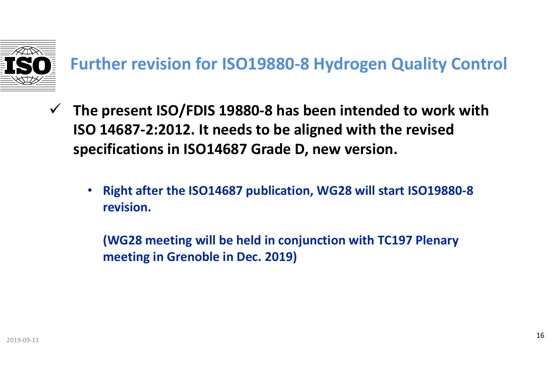

## **Further revision for ISO19880-8 Hydrogen Quality Control**

- **The present ISO/FDIS 19880-8 has been intended to work with ISO 14687-2:2012. It needs to be aligned with the revised specifications in ISO14687 Grade D, new version.** 
	- **Right after the ISO14687 publication, WG28 will start ISO19880-8 revision.**

**(WG28 meeting will be held in conjunction with TC197 Plenary meeting in Grenoble in Dec. 2019)**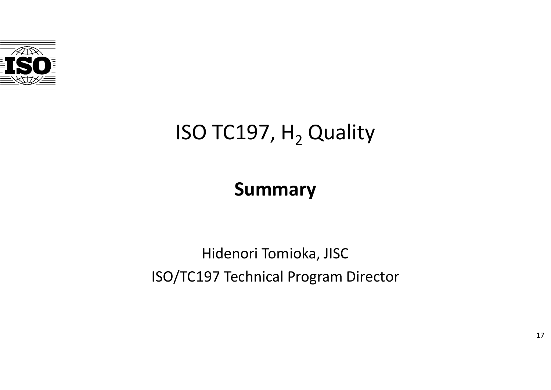

# ISO TC197,  $H<sub>2</sub>$  Quality

## **Summary**

## Hidenori Tomioka, JISC ISO/TC197 Technical Program Director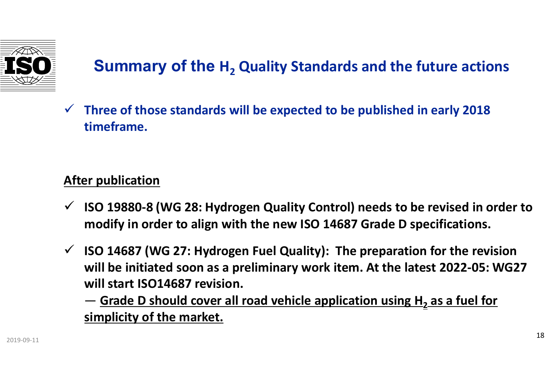

### **Summary of the H<sup>2</sup> Quality Standards and the future actions**

 **Three of those standards will be expected to be published in early 2018 timeframe.** 

### **After publication**

- **ISO 19880-8 (WG 28: Hydrogen Quality Control) needs to be revised in order to modify in order to align with the new ISO 14687 Grade D specifications.**
- **ISO 14687 (WG 27: Hydrogen Fuel Quality): The preparation for the revision will be initiated soon as a preliminary work item. At the latest 2022-05: WG27 will start ISO14687 revision.**

― **Grade D should cover all road vehicle application using H<sup>2</sup> as a fuel for simplicity of the market.**